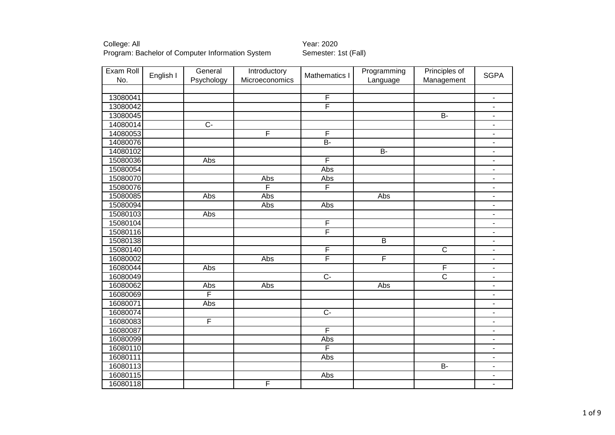| Exam Roll | English I | General                 | Introductory   | Mathematics I           | Programming             | Principles of         | <b>SGPA</b>              |
|-----------|-----------|-------------------------|----------------|-------------------------|-------------------------|-----------------------|--------------------------|
| No.       |           | Psychology              | Microeconomics |                         | Language                | Management            |                          |
|           |           |                         |                |                         |                         |                       |                          |
| 13080041  |           |                         |                | F                       |                         |                       | $\overline{\phantom{a}}$ |
| 13080042  |           |                         |                | $\overline{\mathsf{F}}$ |                         |                       | $\overline{\phantom{a}}$ |
| 13080045  |           |                         |                |                         |                         | $\overline{B}$        | $\blacksquare$           |
| 14080014  |           | $\overline{C}$          |                |                         |                         |                       | $\blacksquare$           |
| 14080053  |           |                         | F              | F                       |                         |                       | $\overline{\phantom{a}}$ |
| 14080076  |           |                         |                | $\overline{B}$          |                         |                       | $\overline{\phantom{a}}$ |
| 14080102  |           |                         |                |                         | $B -$                   |                       | $\blacksquare$           |
| 15080036  |           | Abs                     |                | F                       |                         |                       | $\blacksquare$           |
| 15080054  |           |                         |                | Abs                     |                         |                       | $\blacksquare$           |
| 15080070  |           |                         | Abs            | Abs                     |                         |                       | $\blacksquare$           |
| 15080076  |           |                         | F              | F                       |                         |                       | $\overline{\phantom{a}}$ |
| 15080085  |           | Abs                     | Abs            |                         | Abs                     |                       | $\overline{\phantom{a}}$ |
| 15080094  |           |                         | Abs            | Abs                     |                         |                       | $\overline{\phantom{a}}$ |
| 15080103  |           | Abs                     |                |                         |                         |                       | $\blacksquare$           |
| 15080104  |           |                         |                | $\overline{F}$          |                         |                       | $\overline{\phantom{a}}$ |
| 15080116  |           |                         |                | F                       |                         |                       | $\blacksquare$           |
| 15080138  |           |                         |                |                         | $\overline{B}$          |                       | $\blacksquare$           |
| 15080140  |           |                         |                | $\overline{F}$          |                         | $\overline{C}$        | $\blacksquare$           |
| 16080002  |           |                         | Abs            | $\overline{\mathsf{F}}$ | $\overline{\mathsf{F}}$ |                       | $\blacksquare$           |
| 16080044  |           | Abs                     |                |                         |                         | F                     | $\overline{\phantom{a}}$ |
| 16080049  |           |                         |                | $\overline{C}$          |                         | $\overline{\text{c}}$ | $\blacksquare$           |
| 16080062  |           | Abs                     | Abs            |                         | Abs                     |                       | $\blacksquare$           |
| 16080069  |           | $\overline{\mathsf{F}}$ |                |                         |                         |                       | $\overline{\phantom{a}}$ |
| 16080071  |           | Abs                     |                |                         |                         |                       | $\blacksquare$           |
| 16080074  |           |                         |                | $\overline{C}$          |                         |                       | $\overline{a}$           |
| 16080083  |           | F                       |                |                         |                         |                       | $\blacksquare$           |
| 16080087  |           |                         |                | $\overline{\mathsf{F}}$ |                         |                       | $\overline{\phantom{a}}$ |
| 16080099  |           |                         |                | Abs                     |                         |                       | $\overline{\phantom{a}}$ |
| 16080110  |           |                         |                | F                       |                         |                       | $\blacksquare$           |
| 16080111  |           |                         |                | Abs                     |                         |                       | $\overline{\phantom{a}}$ |
| 16080113  |           |                         |                |                         |                         | <b>B-</b>             | $\blacksquare$           |
| 16080115  |           |                         |                | Abs                     |                         |                       | $\blacksquare$           |
| 16080118  |           |                         | F              |                         |                         |                       | $\blacksquare$           |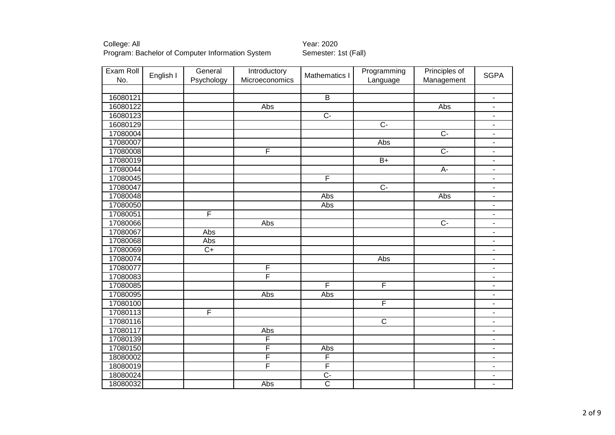| Exam Roll | English I | General         | Introductory            | Mathematics I           | Programming             | Principles of  | <b>SGPA</b>              |
|-----------|-----------|-----------------|-------------------------|-------------------------|-------------------------|----------------|--------------------------|
| No.       |           | Psychology      | Microeconomics          |                         | Language                | Management     |                          |
|           |           |                 |                         |                         |                         |                |                          |
| 16080121  |           |                 |                         | $\overline{B}$          |                         |                | $\blacksquare$           |
| 16080122  |           |                 | Abs                     |                         |                         | Abs            | $\overline{\phantom{0}}$ |
| 16080123  |           |                 |                         | $\overline{C}$          |                         |                | $\blacksquare$           |
| 16080129  |           |                 |                         |                         | $\overline{C}$          |                | $\overline{\phantom{a}}$ |
| 17080004  |           |                 |                         |                         |                         | $\overline{C}$ | $\blacksquare$           |
| 17080007  |           |                 |                         |                         | Abs                     |                | $\overline{\phantom{0}}$ |
| 17080008  |           |                 | $\overline{\mathsf{F}}$ |                         |                         | $\overline{C}$ | $\overline{\phantom{0}}$ |
| 17080019  |           |                 |                         |                         | $B+$                    |                | $\blacksquare$           |
| 17080044  |           |                 |                         |                         |                         | $A -$          | $\overline{\phantom{a}}$ |
| 17080045  |           |                 |                         | F                       |                         |                | $\blacksquare$           |
| 17080047  |           |                 |                         |                         | $\overline{C}$ -        |                | $\blacksquare$           |
| 17080048  |           |                 |                         | Abs                     |                         | Abs            | $\overline{\phantom{a}}$ |
| 17080050  |           |                 |                         | Abs                     |                         |                | $\overline{\phantom{a}}$ |
| 17080051  |           | $\overline{F}$  |                         |                         |                         |                | $\blacksquare$           |
| 17080066  |           |                 | Abs                     |                         |                         | $\overline{C}$ | $\overline{\phantom{a}}$ |
| 17080067  |           | Abs             |                         |                         |                         |                | $\overline{\phantom{a}}$ |
| 17080068  |           | Abs             |                         |                         |                         |                | $\overline{\phantom{a}}$ |
| 17080069  |           | $\overline{C+}$ |                         |                         |                         |                | $\blacksquare$           |
| 17080074  |           |                 |                         |                         | Abs                     |                | $\overline{\phantom{0}}$ |
| 17080077  |           |                 | F                       |                         |                         |                | $\overline{\phantom{a}}$ |
| 17080083  |           |                 | F                       |                         |                         |                | $\overline{\phantom{a}}$ |
| 17080085  |           |                 |                         | F                       | $\overline{\mathsf{F}}$ |                | $\blacksquare$           |
| 17080095  |           |                 | Abs                     | Abs                     |                         |                | $\blacksquare$           |
| 17080100  |           |                 |                         |                         | $\overline{\mathsf{F}}$ |                | ÷,                       |
| 17080113  |           | F               |                         |                         |                         |                | ÷,                       |
| 17080116  |           |                 |                         |                         | $\overline{\text{C}}$   |                | $\overline{\phantom{0}}$ |
| 17080117  |           |                 | Abs                     |                         |                         |                | $\overline{\phantom{0}}$ |
| 17080139  |           |                 | F                       |                         |                         |                | $\blacksquare$           |
| 17080150  |           |                 | F                       | Abs                     |                         |                | $\blacksquare$           |
| 18080002  |           |                 | F                       | F                       |                         |                | $\blacksquare$           |
| 18080019  |           |                 | F                       | $\overline{\mathsf{F}}$ |                         |                | $\overline{\phantom{a}}$ |
| 18080024  |           |                 |                         | $\overline{C}$          |                         |                | $\overline{\phantom{0}}$ |
| 18080032  |           |                 | $\overline{Abs}$        | $\overline{\text{c}}$   |                         |                | $\overline{\phantom{a}}$ |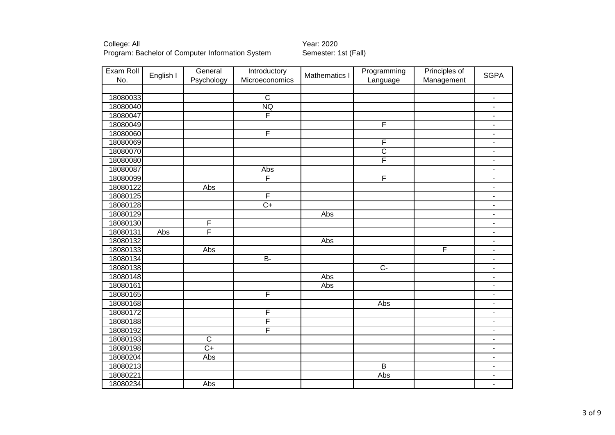| Exam Roll | English I | General         | Introductory    | Mathematics I | Programming           | Principles of  | <b>SGPA</b>              |
|-----------|-----------|-----------------|-----------------|---------------|-----------------------|----------------|--------------------------|
| No.       |           | Psychology      | Microeconomics  |               | Language              | Management     |                          |
|           |           |                 |                 |               |                       |                |                          |
| 18080033  |           |                 | $\overline{C}$  |               |                       |                | $\blacksquare$           |
| 18080040  |           |                 | <b>NQ</b>       |               |                       |                | $\overline{\phantom{a}}$ |
| 18080047  |           |                 | F               |               |                       |                | $\blacksquare$           |
| 18080049  |           |                 |                 |               | F                     |                | $\blacksquare$           |
| 18080060  |           |                 | F               |               |                       |                | $\blacksquare$           |
| 18080069  |           |                 |                 |               | F                     |                | $\overline{\phantom{a}}$ |
| 18080070  |           |                 |                 |               | $\overline{\text{c}}$ |                | $\overline{\phantom{a}}$ |
| 18080080  |           |                 |                 |               | F                     |                | $\blacksquare$           |
| 18080087  |           |                 | Abs             |               |                       |                | $\overline{\phantom{a}}$ |
| 18080099  |           |                 | F               |               | F                     |                | $\blacksquare$           |
| 18080122  |           | Abs             |                 |               |                       |                | $\overline{\phantom{a}}$ |
| 18080125  |           |                 | F               |               |                       |                | $\overline{\phantom{a}}$ |
| 18080128  |           |                 | $\overline{C+}$ |               |                       |                | $\blacksquare$           |
| 18080129  |           |                 |                 | Abs           |                       |                | $\overline{\phantom{a}}$ |
| 18080130  |           | $\overline{F}$  |                 |               |                       |                | $\blacksquare$           |
| 18080131  | Abs       | F               |                 |               |                       |                | $\overline{\phantom{a}}$ |
| 18080132  |           |                 |                 | Abs           |                       |                | $\blacksquare$           |
| 18080133  |           | Abs             |                 |               |                       | $\overline{F}$ | $\overline{\phantom{a}}$ |
| 18080134  |           |                 | $B -$           |               |                       |                | $\overline{\phantom{a}}$ |
| 18080138  |           |                 |                 |               | $\overline{C}$        |                | $\blacksquare$           |
| 18080148  |           |                 |                 | Abs           |                       |                | $\blacksquare$           |
| 18080161  |           |                 |                 | Abs           |                       |                | $\blacksquare$           |
| 18080165  |           |                 | F               |               |                       |                | $\overline{\phantom{a}}$ |
| 18080168  |           |                 |                 |               | Abs                   |                | $\overline{\phantom{a}}$ |
| 18080172  |           |                 | F               |               |                       |                | $\blacksquare$           |
| 18080188  |           |                 | F               |               |                       |                | $\overline{\phantom{a}}$ |
| 18080192  |           |                 | F               |               |                       |                | $\blacksquare$           |
| 18080193  |           | $\overline{C}$  |                 |               |                       |                | $\blacksquare$           |
| 18080198  |           | $\overline{C+}$ |                 |               |                       |                | $\blacksquare$           |
| 18080204  |           | Abs             |                 |               |                       |                | $\blacksquare$           |
| 18080213  |           |                 |                 |               | $\overline{B}$        |                | $\overline{\phantom{a}}$ |
| 18080221  |           |                 |                 |               | Abs                   |                | $\blacksquare$           |
| 18080234  |           | Abs             |                 |               |                       |                | ä,                       |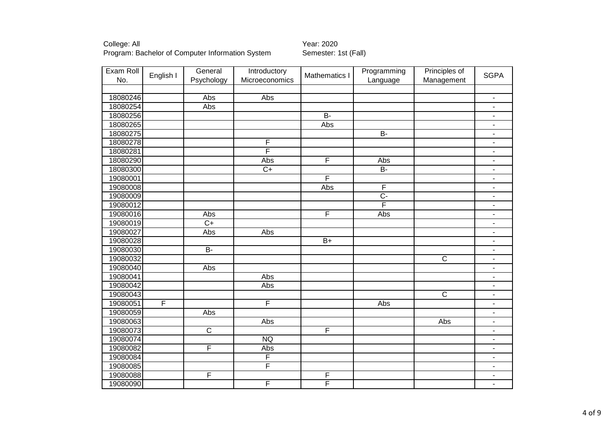| Exam Roll | English I | General               | Introductory            | Mathematics I           | Programming             | Principles of         | <b>SGPA</b>              |
|-----------|-----------|-----------------------|-------------------------|-------------------------|-------------------------|-----------------------|--------------------------|
| No.       |           | Psychology            | Microeconomics          |                         | Language                | Management            |                          |
|           |           |                       |                         |                         |                         |                       |                          |
| 18080246  |           | Abs                   | Abs                     |                         |                         |                       | $\blacksquare$           |
| 18080254  |           | Abs                   |                         |                         |                         |                       | $\overline{\phantom{a}}$ |
| 18080256  |           |                       |                         | $\overline{B}$          |                         |                       | $\blacksquare$           |
| 18080265  |           |                       |                         | Abs                     |                         |                       | $\blacksquare$           |
| 18080275  |           |                       |                         |                         | $B -$                   |                       | $\blacksquare$           |
| 18080278  |           |                       | F                       |                         |                         |                       | $\blacksquare$           |
| 18080281  |           |                       | F                       |                         |                         |                       | $\overline{\phantom{a}}$ |
| 18080290  |           |                       | Abs                     | F                       | Abs                     |                       | $\blacksquare$           |
| 18080300  |           |                       | $C+$                    |                         | $B -$                   |                       | $\blacksquare$           |
| 19080001  |           |                       |                         | F                       |                         |                       | $\blacksquare$           |
| 19080008  |           |                       |                         | Abs                     | F                       |                       | $\overline{\phantom{a}}$ |
| 19080009  |           |                       |                         |                         | $\overline{C}$          |                       | $\overline{\phantom{a}}$ |
| 19080012  |           |                       |                         |                         | $\overline{\mathsf{F}}$ |                       | $\overline{\phantom{a}}$ |
| 19080016  |           | Abs                   |                         | F                       | Abs                     |                       | $\blacksquare$           |
| 19080019  |           | $\overline{C+}$       |                         |                         |                         |                       | $\blacksquare$           |
| 19080027  |           | Abs                   | Abs                     |                         |                         |                       | $\overline{\phantom{a}}$ |
| 19080028  |           |                       |                         | $\overline{B+}$         |                         |                       | $\blacksquare$           |
| 19080030  |           | B-                    |                         |                         |                         |                       | $\blacksquare$           |
| 19080032  |           |                       |                         |                         |                         | $\overline{c}$        | $\overline{\phantom{a}}$ |
| 19080040  |           | Abs                   |                         |                         |                         |                       | $\blacksquare$           |
| 19080041  |           |                       | Abs                     |                         |                         |                       | $\blacksquare$           |
| 19080042  |           |                       | Abs                     |                         |                         |                       | $\overline{\phantom{a}}$ |
| 19080043  |           |                       |                         |                         |                         | $\overline{\text{c}}$ | $\blacksquare$           |
| 19080051  | F         |                       | F                       |                         | Abs                     |                       | $\blacksquare$           |
| 19080059  |           | Abs                   |                         |                         |                         |                       | $\blacksquare$           |
| 19080063  |           |                       | Abs                     |                         |                         | Abs                   | $\overline{\phantom{a}}$ |
| 19080073  |           | $\overline{\text{c}}$ |                         | $\overline{\mathsf{F}}$ |                         |                       | $\blacksquare$           |
| 19080074  |           |                       | <b>NQ</b>               |                         |                         |                       | $\blacksquare$           |
| 19080082  |           | F                     | Abs                     |                         |                         |                       | $\blacksquare$           |
| 19080084  |           |                       | F                       |                         |                         |                       | $\blacksquare$           |
| 19080085  |           |                       | F                       |                         |                         |                       | $\blacksquare$           |
| 19080088  |           | F                     |                         | F                       |                         |                       | $\blacksquare$           |
| 19080090  |           |                       | $\overline{\mathsf{F}}$ | F                       |                         |                       | $\overline{a}$           |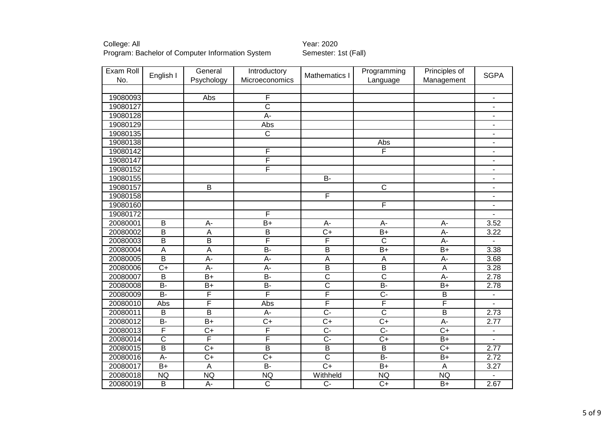| Exam Roll | English I             | General                   | <b>Introductory</b>   | Mathematics I           | Programming           | Principles of           | <b>SGPA</b>              |
|-----------|-----------------------|---------------------------|-----------------------|-------------------------|-----------------------|-------------------------|--------------------------|
| No.       |                       | Psychology                | Microeconomics        |                         | Language              | Management              |                          |
|           |                       |                           |                       |                         |                       |                         |                          |
| 19080093  |                       | Abs                       | F                     |                         |                       |                         | ۰                        |
| 19080127  |                       |                           | $\overline{\text{c}}$ |                         |                       |                         | ۰                        |
| 19080128  |                       |                           | A-                    |                         |                       |                         | $\blacksquare$           |
| 19080129  |                       |                           | Abs                   |                         |                       |                         | $\blacksquare$           |
| 19080135  |                       |                           | $\overline{\text{C}}$ |                         |                       |                         | $\overline{\phantom{0}}$ |
| 19080138  |                       |                           |                       |                         | Abs                   |                         | ۰                        |
| 19080142  |                       |                           | F                     |                         | F                     |                         | $\overline{\phantom{0}}$ |
| 19080147  |                       |                           | F                     |                         |                       |                         | $\overline{\phantom{0}}$ |
| 19080152  |                       |                           | F                     |                         |                       |                         | $\overline{\phantom{a}}$ |
| 19080155  |                       |                           |                       | $B -$                   |                       |                         | $\overline{\phantom{0}}$ |
| 19080157  |                       | $\overline{B}$            |                       |                         | $\overline{\text{c}}$ |                         | $\overline{\phantom{0}}$ |
| 19080158  |                       |                           |                       | $\overline{\mathsf{F}}$ |                       |                         | ÷,                       |
| 19080160  |                       |                           |                       |                         | F                     |                         | $\overline{\phantom{0}}$ |
| 19080172  |                       |                           | F                     |                         |                       |                         | $\overline{\phantom{0}}$ |
| 20080001  | B                     | A-                        | $B+$                  | A-                      | A-                    | $A -$                   | 3.52                     |
| 20080002  | $\overline{B}$        | Α                         | B                     | $\overline{C+}$         | $B+$                  | $A -$                   | 3.22                     |
| 20080003  | B                     | $\overline{\mathsf{B}}$   | F                     | F                       | $\overline{\text{c}}$ | $A -$                   | $\overline{a}$           |
| 20080004  | A                     | A                         | <b>B-</b>             | $\overline{B}$          | $B+$                  | $B+$                    | 3.38                     |
| 20080005  | $\overline{B}$        | A-                        | A-                    | $\overline{A}$          | A                     | $A -$                   | 3.68                     |
| 20080006  | $\overline{C+}$       | $A -$                     | $\overline{A}$ -      | $\overline{\mathsf{B}}$ | $\overline{B}$        | $\overline{A}$          | 3.28                     |
| 20080007  | $\overline{B}$        | $B+$                      | $\overline{B}$        | $\overline{\text{c}}$   | $\overline{\text{c}}$ | $\overline{A}$ -        | 2.78                     |
| 20080008  | $\overline{B}$        | $B+$                      | $\overline{B}$        | $\overline{\text{c}}$   | $B -$                 | $B+$                    | 2.78                     |
| 20080009  | $\overline{B}$        | F                         | F                     | F                       | $\overline{C}$        | $\overline{\mathsf{B}}$ |                          |
| 20080010  | Abs                   | $\overline{\mathsf{F}}$   | Abs                   | F                       | F                     | F                       |                          |
| 20080011  | B                     | $\overline{B}$            | A-                    | $\overline{C}$          | $\overline{\text{c}}$ | $\overline{B}$          | 2.73                     |
| 20080012  | $\overline{B}$        | $\overline{B+}$           | $\overline{C+}$       | $\overline{C+}$         | $\overline{C+}$       | $A -$                   | 2.77                     |
| 20080013  | F                     | $\overline{C}$            | F                     | $\overline{C}$          | $\overline{C}$ -      | $\overline{C}$          | $\blacksquare$           |
| 20080014  | $\overline{\text{c}}$ | F                         | F                     | $\overline{C}$          | $C+$                  | $B+$                    | $\overline{\phantom{0}}$ |
| 20080015  | B                     | $\overline{C}$            | B                     | $\overline{\mathsf{B}}$ | $\overline{B}$        | $\overline{C}$          | 2.77                     |
| 20080016  | A-                    | $\overline{C}$            | $\overline{C+}$       | $\overline{\text{c}}$   | $\overline{B}$        | $B+$                    | 2.72                     |
| 20080017  | $\overline{B+}$       | $\boldsymbol{\mathsf{A}}$ | $B -$                 | $\overline{C+}$         | $B+$                  | $\overline{A}$          | 3.27                     |
| 20080018  | <b>NQ</b>             | <b>NQ</b>                 | <b>NQ</b>             | Withheld                | <b>NQ</b>             | <b>NQ</b>               |                          |
| 20080019  | B                     | $\overline{A}$ -          | $\overline{\text{c}}$ | $\overline{C}$          | $\overline{C+}$       | $B+$                    | 2.67                     |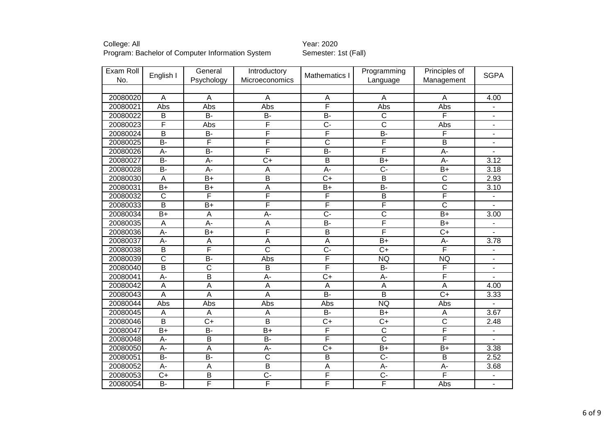| College: All                                     |
|--------------------------------------------------|
| Program: Bachelor of Computer Information System |

| Exam Roll | English I               | General               | Introductory            |                       | Programming           | Principles of           | <b>SGPA</b>              |
|-----------|-------------------------|-----------------------|-------------------------|-----------------------|-----------------------|-------------------------|--------------------------|
| No.       |                         | Psychology            | Microeconomics          | Mathematics I         | Language              | Management              |                          |
|           |                         |                       |                         |                       |                       |                         |                          |
| 20080020  | A                       | A                     | A                       | A                     | A                     | A                       | 4.00                     |
| 20080021  | Abs                     | Abs                   | Abs                     | F                     | Abs                   | Abs                     | $\overline{\phantom{0}}$ |
| 20080022  | B                       | $\overline{B}$        | B-                      | <b>B-</b>             | $\overline{\text{c}}$ | F                       | $\blacksquare$           |
| 20080023  | F                       | Abs                   | F                       | $\overline{C}$        | $\overline{\text{c}}$ | Abs                     | $\overline{\phantom{a}}$ |
| 20080024  | $\overline{\mathsf{B}}$ | B-                    | F                       | F                     | $\overline{B}$        | F                       | $\overline{\phantom{0}}$ |
| 20080025  | <b>B-</b>               | F                     | F                       | $\overline{\text{c}}$ | F                     | B                       |                          |
| 20080026  | A-                      | $\overline{B}$        | F                       | $B -$                 | F                     | $A -$                   |                          |
| 20080027  | $\overline{B}$          | $\overline{A}$ -      | $\overline{C+}$         | $\overline{B}$        | $\overline{B+}$       | $\overline{A}$ -        | 3.12                     |
| 20080028  | $\overline{B}$          | A-                    | A                       | A-                    | $\overline{C}$ -      | $B+$                    | $\overline{3.18}$        |
| 20080030  | A                       | $B+$                  | B                       | $\overline{C}$        | $\overline{B}$        | $\overline{\text{c}}$   | 2.93                     |
| 20080031  | $\overline{B+}$         | $\overline{B+}$       | $\overline{A}$          | $\overline{B+}$       | $\overline{B}$        | $\overline{\text{c}}$   | 3.10                     |
| 20080032  | $\overline{\text{c}}$   | F                     | F                       | F                     | $\overline{B}$        | F                       | ٠                        |
| 20080033  | $\overline{\mathsf{B}}$ | $\overline{B+}$       | F                       | F                     | F                     | $\overline{\text{c}}$   |                          |
| 20080034  | $B+$                    | A                     | $A -$                   | $\overline{C}$        | $\overline{\text{c}}$ | $\overline{B+}$         | $\overline{3.00}$        |
| 20080035  | A                       | $\overline{A}$        | $\overline{A}$          | $B -$                 | F                     | $B+$                    | $\overline{\phantom{a}}$ |
| 20080036  | A-                      | $\overline{B+}$       | F                       | $\overline{B}$        | F                     | $\overline{C+}$         | $\overline{\phantom{0}}$ |
| 20080037  | A-                      | Α                     | $\overline{A}$          | A                     | $\overline{B+}$       | A-                      | 3.78                     |
| 20080038  | $\overline{\mathsf{B}}$ | F                     | $\overline{\text{c}}$   | $\overline{C}$        | $\overline{C+}$       | F                       | $\overline{\phantom{0}}$ |
| 20080039  | $\mathsf{C}$            | <b>B-</b>             | Abs                     | F                     | <b>NQ</b>             | <b>NQ</b>               | ÷,                       |
| 20080040  | B                       | $\overline{\text{c}}$ | $\overline{\mathsf{B}}$ | F                     | $B -$                 | F                       | $\overline{\phantom{0}}$ |
| 20080041  | $A -$                   | $\overline{B}$        | A-                      | $\overline{C}$        | A-                    | F                       |                          |
| 20080042  | $\overline{A}$          | A                     | A                       | $\overline{A}$        | A                     | $\overline{A}$          | 4.00                     |
| 20080043  | $\overline{A}$          | A                     | Ā                       | $\overline{B}$        | $\overline{B}$        | $\overline{C+}$         | 3.33                     |
| 20080044  | Abs                     | Abs                   | Abs                     | Abs                   | <b>NQ</b>             | Abs                     |                          |
| 20080045  | A                       | A                     | A                       | $\overline{B}$        | $\overline{B+}$       | $\overline{A}$          | 3.67                     |
| 20080046  | B                       | $\overline{C+}$       | B                       | $\overline{C+}$       | $\overline{C+}$       | $\overline{\text{c}}$   | 2.48                     |
| 20080047  | $\overline{B+}$         | $\overline{B}$        | $\overline{B+}$         | F                     | $\overline{\text{c}}$ | F                       | -                        |
| 20080048  | A-                      | $\overline{B}$        | $B -$                   | F                     | $\overline{\text{c}}$ | $\overline{\mathsf{F}}$ |                          |
| 20080050  | A-                      | $\overline{A}$        | А-                      | $\overline{C+}$       | $B+$                  | $B+$                    | 3.38                     |
| 20080051  | $\overline{B}$          | $\overline{B}$        | $\overline{\text{c}}$   | $\overline{B}$        | $\overline{C}$ -      | $\overline{B}$          | 2.52                     |
| 20080052  | A-                      | Α                     | $\overline{\mathsf{B}}$ | A                     | A-                    | $A -$                   | 3.68                     |
| 20080053  | $\overline{C}$          | $\overline{B}$        | $\overline{C}$ -        | F                     | $\overline{C}$ -      | F                       | $\overline{a}$           |
| 20080054  | $\overline{B}$          | F                     | F                       | F                     | F                     | Abs                     | $\overline{\phantom{0}}$ |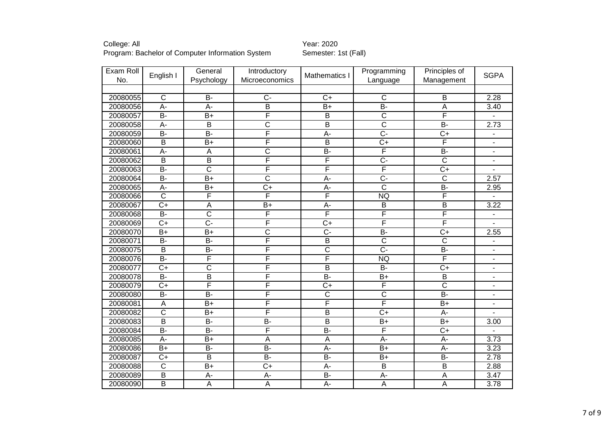| College: All                                     |
|--------------------------------------------------|
| Program: Bachelor of Computer Information System |

| Exam Roll | English I               | General               | Introductory            | Mathematics I           | Programming           | Principles of         | <b>SGPA</b>              |
|-----------|-------------------------|-----------------------|-------------------------|-------------------------|-----------------------|-----------------------|--------------------------|
| No.       |                         | Psychology            | Microeconomics          |                         | Language              | Management            |                          |
|           |                         |                       |                         |                         |                       |                       |                          |
| 20080055  | $\mathsf{C}$            | $B -$                 | $\overline{C}$          | $\overline{C+}$         | $\overline{\text{c}}$ | $\overline{B}$        | 2.28                     |
| 20080056  | A-                      | $\overline{A}$ -      | $\overline{\mathsf{B}}$ | $\overline{B+}$         | $\overline{B}$        | $\overline{A}$        | 3.40                     |
| 20080057  | B-                      | $B+$                  | F                       | B                       | $\overline{\text{c}}$ | F                     |                          |
| 20080058  | A-                      | B                     | $\overline{\text{c}}$   | $\overline{B}$          | $\overline{\text{c}}$ | $\overline{B}$        | 2.73                     |
| 20080059  | B-                      | $\overline{B}$        | F                       | A-                      | Ċ-                    | $C+$                  | $\overline{a}$           |
| 20080060  | B                       | $B+$                  | F                       | $\overline{B}$          | $C+$                  | F                     | $\overline{\phantom{0}}$ |
| 20080061  | $A -$                   | A                     | $\overline{\text{c}}$   | $B -$                   | F                     | <b>B-</b>             |                          |
| 20080062  | $\overline{\mathsf{B}}$ | $\overline{B}$        | F                       | F                       | $\overline{C}$        | $\overline{\text{c}}$ | $\overline{\phantom{0}}$ |
| 20080063  | $\overline{B}$          | $\overline{\text{c}}$ | F                       | F                       | F                     | $\overline{C}$        |                          |
| 20080064  | <b>B-</b>               | $B+$                  | $\overline{\text{c}}$   | A-                      | $\overline{C}$        | $\mathsf{C}$          | 2.57                     |
| 20080065  | $\overline{A}$          | $\overline{B+}$       | $\overline{C+}$         | $A -$                   | $\overline{\text{c}}$ | $\overline{B}$        | 2.95                     |
| 20080066  | $\overline{\text{c}}$   | F                     | F                       | F                       | <b>NQ</b>             | F                     |                          |
| 20080067  | $\overline{C+}$         | A                     | $B+$                    | A-                      | $\overline{B}$        | $\overline{B}$        | 3.22                     |
| 20080068  | B-                      | $\overline{\text{c}}$ | F                       | F                       | F                     | F                     | $\overline{\phantom{0}}$ |
| 20080069  | $C+$                    | $\overline{C}$        | F                       | $\overline{C}$          | F                     | F                     |                          |
| 20080070  | $B+$                    | $B+$                  | $\overline{\text{c}}$   | $\overline{C}$          | $\overline{B}$        | $\overline{C}$        | 2.55                     |
| 20080071  | B-                      | $\overline{B}$        | F                       | $\overline{B}$          | $\overline{\text{c}}$ | $\overline{\text{c}}$ | $\blacksquare$           |
| 20080075  | $\overline{B}$          | $\overline{B}$        | F                       | $\overline{\text{c}}$   | $\overline{C}$        | $\overline{B}$        | $\overline{\phantom{0}}$ |
| 20080076  | <b>B-</b>               | F                     | F                       | F                       | <b>NQ</b>             | F                     | ÷.                       |
| 20080077  | $\overline{C+}$         | $\overline{\text{c}}$ | F                       | $\overline{B}$          | $\overline{B}$        | $\overline{C+}$       | $\overline{\phantom{0}}$ |
| 20080078  | $\overline{B}$          | B                     | F                       | $\overline{B}$          | $B+$                  | B                     | $\overline{\phantom{0}}$ |
| 20080079  | $C+$                    | F                     | F                       | $\overline{C+}$         | F                     | $\overline{\text{c}}$ | $\overline{\phantom{0}}$ |
| 20080080  | $\overline{B}$          | $\overline{B}$        | F                       | $\overline{\text{c}}$   | $\overline{\text{c}}$ | $\overline{B}$        | $\overline{\phantom{0}}$ |
| 20080081  | $\overline{A}$          | $\overline{B+}$       | F                       | F                       | F                     | $B+$                  | ä,                       |
| 20080082  | $\overline{\text{c}}$   | $B+$                  | F                       | $\overline{B}$          | $\overline{C+}$       | A-                    |                          |
| 20080083  | $\overline{\mathsf{B}}$ | $B -$                 | $\overline{B}$ -        | $\overline{\mathsf{B}}$ | $B+$                  | $B+$                  | $\overline{3.00}$        |
| 20080084  | $\overline{B}$          | $B -$                 | F                       | $B -$                   | F                     | $\overline{C}$        |                          |
| 20080085  | А-                      | $B+$                  | $\overline{A}$          | Α                       | A-                    | $A -$                 | 3.73                     |
| 20080086  | $\overline{B+}$         | $B -$                 | $\overline{B}$          | A-                      | $\overline{B+}$       | $\overline{A}$        | 3.23                     |
| 20080087  | $C+$                    | B                     | B-                      | <b>B-</b>               | B+                    | <b>B-</b>             | 2.78                     |
| 20080088  | $\overline{\text{c}}$   | $B+$                  | $\overline{C+}$         | A-                      | $\overline{B}$        | B                     | 2.88                     |
| 20080089  | $\overline{\mathsf{B}}$ | A-                    | A-                      | $\overline{B}$          | A-                    | A                     | 3.47                     |
| 20080090  | $\overline{\mathsf{B}}$ | A                     | $\overline{A}$          | A-                      | $\overline{A}$        | $\overline{A}$        | 3.78                     |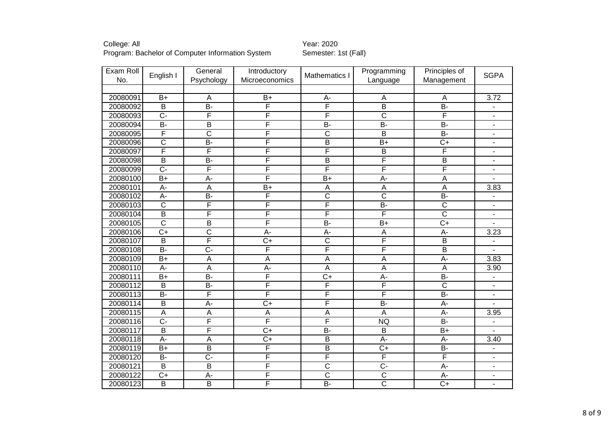| College: All                                     |
|--------------------------------------------------|
| Program: Bachelor of Computer Information System |

| Exam Roll | English I               | General                 | Introductory              |                         | Programming             | Principles of           | <b>SGPA</b>              |
|-----------|-------------------------|-------------------------|---------------------------|-------------------------|-------------------------|-------------------------|--------------------------|
| No.       |                         | Psychology              | Microeconomics            | Mathematics I           | Language                | Management              |                          |
|           |                         |                         |                           |                         |                         |                         |                          |
| 20080091  | $B+$                    | A                       | $B+$                      | A-                      | A                       | A                       | 3.72                     |
| 20080092  | $\overline{B}$          | $B -$                   | F                         | F                       | $\overline{\mathsf{B}}$ | $\overline{B}$          | $\overline{\phantom{0}}$ |
| 20080093  | $C -$                   | F                       | F                         | F                       | $\overline{\text{c}}$   | F                       | $\overline{\phantom{0}}$ |
| 20080094  | $\overline{B}$          | B                       | F                         | <b>B-</b>               | <b>B-</b>               | <b>B-</b>               | $\overline{\phantom{0}}$ |
| 20080095  | F                       | $\overline{\text{c}}$   | F                         | $\overline{\text{c}}$   | $\overline{B}$          | $\overline{B}$          | ۰                        |
| 20080096  | $\overline{\text{c}}$   | $\overline{B}$          | F                         | $\overline{B}$          | $B+$                    | $\overline{C+}$         | $\overline{\phantom{0}}$ |
| 20080097  | F                       | F                       | F                         | F                       | $\overline{B}$          | $\overline{\mathsf{F}}$ | $\overline{\phantom{a}}$ |
| 20080098  | $\overline{\mathsf{B}}$ | $\overline{B}$          | F                         | $\overline{\mathsf{B}}$ | F                       | $\overline{B}$          | ۰                        |
| 20080099  | $\overline{C}$ -        | F                       | F                         | F                       | F                       | F                       | ۰                        |
| 20080100  | $\overline{B+}$         | $A -$                   | F                         | $B+$                    | $\overline{A}$          | $\overline{A}$          |                          |
| 20080101  | A-                      | A                       | $B+$                      | A                       | $\overline{A}$          | $\overline{A}$          | 3.83                     |
| 20080102  | A-                      | $\overline{B}$          | F                         | $\overline{\text{c}}$   | $\overline{\text{c}}$   | $\overline{B}$          | $\overline{\phantom{0}}$ |
| 20080103  | $\overline{\text{c}}$   | F                       | F                         | $\overline{\mathsf{F}}$ | $\overline{B}$          | $\overline{\text{c}}$   | $\overline{\phantom{0}}$ |
| 20080104  | $\overline{\mathsf{B}}$ | F                       | F                         | F                       | F                       | $\overline{\text{c}}$   | $\overline{\phantom{0}}$ |
| 20080105  | $\overline{\text{c}}$   | $\overline{B}$          | F                         | $\overline{B}$          | $B+$                    | $\overline{C+}$         | $\overline{\phantom{0}}$ |
| 20080106  | $C+$                    | $\overline{\text{c}}$   | A-                        | A-                      | A                       | $A -$                   | 3.23                     |
| 20080107  | $\overline{B}$          | F                       | $\overline{C}$            | $\overline{\text{c}}$   | F                       | $\overline{B}$          | $\overline{\phantom{0}}$ |
| 20080108  | $\overline{B}$          | $\overline{C}$          | F                         | $\overline{\mathsf{F}}$ | F                       | $\overline{B}$          |                          |
| 20080109  | $B+$                    | Α                       | A                         | A                       | A                       | $A -$                   | 3.83                     |
| 20080110  | $A -$                   | $\overline{\mathsf{A}}$ | $A -$                     | $\overline{A}$          | $\overline{\mathsf{A}}$ | $\overline{A}$          | 3.90                     |
| 20080111  | $B+$                    | <b>B-</b>               | F                         | $C+$                    | $A -$                   | <b>B-</b>               |                          |
| 20080112  | B                       | $\overline{B}$          | F                         | F                       | F                       | $\overline{\text{c}}$   | $\overline{\phantom{0}}$ |
| 20080113  | $\overline{B}$          | F                       | F                         | F                       | F                       | $\overline{B}$          | L.                       |
| 20080114  | $\overline{B}$          | A-                      | $C+$                      | F                       | $\overline{B}$          | $\overline{A}$ -        |                          |
| 20080115  | $\overline{A}$          | A                       | $\boldsymbol{\mathsf{A}}$ | A                       | $\overline{A}$          | $A -$                   | 3.95                     |
| 20080116  | $\overline{C}$ -        | F                       | F                         | F                       | <b>NQ</b>               | $\overline{B}$          | $\overline{\phantom{0}}$ |
| 20080117  | $\overline{\mathsf{B}}$ | F                       | $\overline{C+}$           | $B -$                   | $\overline{B}$          | $\overline{B+}$         |                          |
| 20080118  | А-                      | Α                       | $C+$                      | B                       | A-                      | A-                      | 3.40                     |
| 20080119  | $B+$                    | $\overline{B}$          | F                         | $\overline{\mathsf{B}}$ | $\overline{C}$          | $\overline{B}$          | $\overline{\phantom{0}}$ |
| 20080120  | <b>B-</b>               | $\overline{C}$          | F                         | F                       | F                       | F                       | $\overline{\phantom{a}}$ |
| 20080121  | B                       | $\overline{B}$          | F                         | $\overline{\text{c}}$   | $\overline{C}$          | $A -$                   | $\overline{\phantom{0}}$ |
| 20080122  | $\overline{C+}$         | А-                      | F                         | $\overline{\text{c}}$   | $\overline{\mathsf{C}}$ | A-                      | $\overline{\phantom{0}}$ |
| 20080123  | $\overline{\mathsf{B}}$ | $\overline{B}$          | F                         | $B -$                   | $\overline{\text{c}}$   | $\overline{C+}$         | ÷.                       |